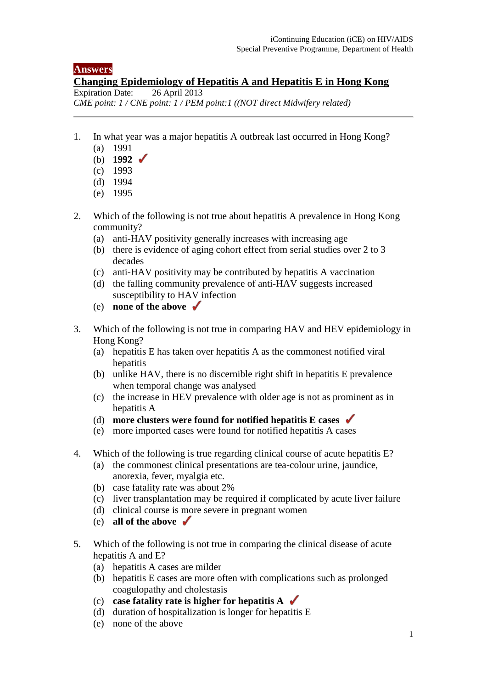## **Answers**

## **Changing Epidemiology of Hepatitis A and Hepatitis E in Hong Kong Expiration Date:** 26 April 2013

Expiration Date: *CME point: 1 / CNE point: 1 / PEM point:1 ((NOT direct Midwifery related)* 

- 1. In what year was a major hepatitis A outbreak last occurred in Hong Kong?
	- (a) 1991
	- (b) **1992**
	- (c) 1993
	- (d) 1994
	- (e) 1995
- 2. Which of the following is not true about hepatitis A prevalence in Hong Kong community?
	- (a) anti-HAV positivity generally increases with increasing age
	- (b) there is evidence of aging cohort effect from serial studies over 2 to 3 decades
	- (c) anti-HAV positivity may be contributed by hepatitis A vaccination
	- (d) the falling community prevalence of anti-HAV suggests increased susceptibility to HAV infection
	- (e) **none of the above**
- 3. Which of the following is not true in comparing HAV and HEV epidemiology in Hong Kong?
	- (a) hepatitis E has taken over hepatitis A as the commonest notified viral hepatitis
	- (b) unlike HAV, there is no discernible right shift in hepatitis E prevalence when temporal change was analysed
	- (c) the increase in HEV prevalence with older age is not as prominent as in hepatitis A
	- (d) **more clusters were found for notified hepatitis E cases**
	- (e) more imported cases were found for notified hepatitis A cases
- 4. Which of the following is true regarding clinical course of acute hepatitis E?
	- (a) the commonest clinical presentations are tea-colour urine, jaundice, anorexia, fever, myalgia etc.
	- (b) case fatality rate was about 2%
	- (c) liver transplantation may be required if complicated by acute liver failure
	- (d) clinical course is more severe in pregnant women
	- (e) **all of the above**
- 5. Which of the following is not true in comparing the clinical disease of acute hepatitis A and E?
	- (a) hepatitis A cases are milder
	- (b) hepatitis E cases are more often with complications such as prolonged coagulopathy and cholestasis
	- (c) **case fatality rate is higher for hepatitis A**
	- (d) duration of hospitalization is longer for hepatitis E
	- (e) none of the above